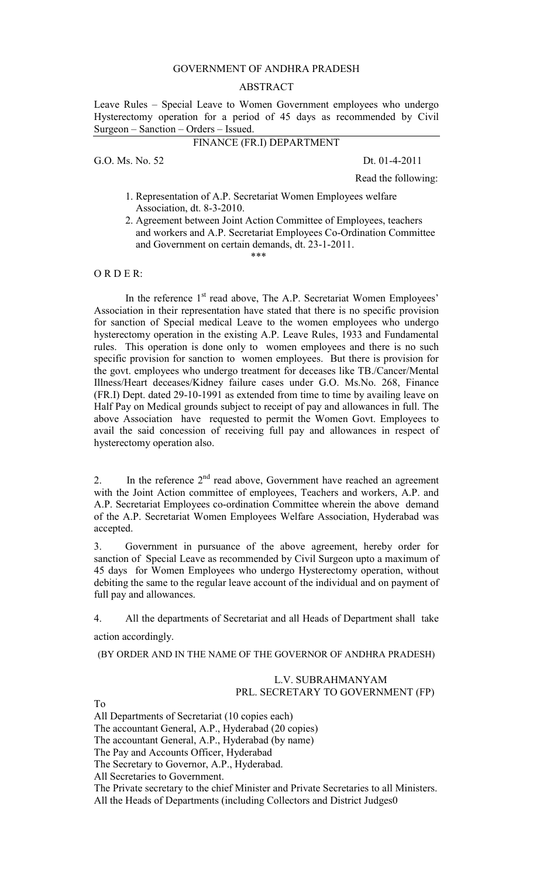## GOVERNMENT OF ANDHRA PRADESH

## ABSTRACT

Leave Rules – Special Leave to Women Government employees who undergo Hysterectomy operation for a period of 45 days as recommended by Civil Surgeon – Sanction – Orders – Issued.

## FINANCE (FR.I) DEPARTMENT

G.O. Ms. No. 52 Dt. 01-4-2011

Read the following:

 1. Representation of A.P. Secretariat Women Employees welfare Association, dt. 8-3-2010.

 $****$ 

2. Agreement between Joint Action Committee of Employees, teachers and workers and A.P. Secretariat Employees Co-Ordination Committee and Government on certain demands, dt. 23-1-2011.

 $O$  R D E R $\cdot$ 

In the reference 1<sup>st</sup> read above, The A.P. Secretariat Women Employees' Association in their representation have stated that there is no specific provision for sanction of Special medical Leave to the women employees who undergo hysterectomy operation in the existing A.P. Leave Rules, 1933 and Fundamental rules. This operation is done only to women employees and there is no such specific provision for sanction to women employees. But there is provision for the govt. employees who undergo treatment for deceases like TB./Cancer/Mental Illness/Heart deceases/Kidney failure cases under G.O. Ms.No. 268, Finance (FR.I) Dept. dated 29-10-1991 as extended from time to time by availing leave on Half Pay on Medical grounds subject to receipt of pay and allowances in full. The above Association have requested to permit the Women Govt. Employees to avail the said concession of receiving full pay and allowances in respect of hysterectomy operation also.

2. In the reference  $2<sup>nd</sup>$  read above, Government have reached an agreement with the Joint Action committee of employees, Teachers and workers, A.P. and A.P. Secretariat Employees co-ordination Committee wherein the above demand of the A.P. Secretariat Women Employees Welfare Association, Hyderabad was accepted.

3. Government in pursuance of the above agreement, hereby order for sanction of Special Leave as recommended by Civil Surgeon upto a maximum of 45 days for Women Employees who undergo Hysterectomy operation, without debiting the same to the regular leave account of the individual and on payment of full pay and allowances.

4. All the departments of Secretariat and all Heads of Department shall take

action accordingly.

(BY ORDER AND IN THE NAME OF THE GOVERNOR OF ANDHRA PRADESH)

## L.V. SUBRAHMANYAM PRL. SECRETARY TO GOVERNMENT (FP)

To

All Departments of Secretariat (10 copies each)

The accountant General, A.P., Hyderabad (20 copies)

The accountant General, A.P., Hyderabad (by name)

The Pay and Accounts Officer, Hyderabad

The Secretary to Governor, A.P., Hyderabad.

All Secretaries to Government.

The Private secretary to the chief Minister and Private Secretaries to all Ministers. All the Heads of Departments (including Collectors and District Judges0